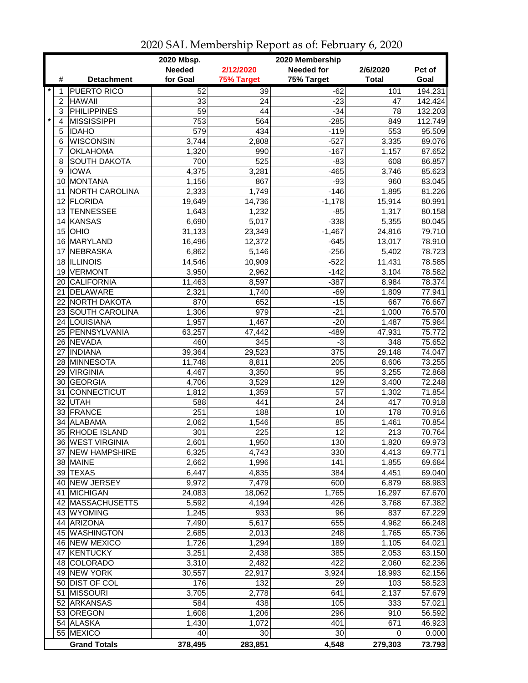| <b>Needed</b><br>2/12/2020<br><b>Needed for</b><br>2/6/2020<br>Pct of<br>for Goal<br>75% Target<br>#<br><b>Detachment</b><br>75% Target<br><b>Total</b><br>Goal<br>$\star$<br>194.231<br><b>PUERTO RICO</b><br>52<br>39<br>$-62$<br>101<br>1<br><b>HAWAII</b><br>33<br>24<br>$-23$<br>$\overline{c}$<br>47<br><b>PHILIPPINES</b><br>59<br>44<br>$-34$<br>78<br>132.203<br>3<br>$\star$<br><b>MISSISSIPPI</b><br>753<br>564<br>$-285$<br>849<br>112.749<br>4<br><b>IDAHO</b><br>579<br>434<br>$-119$<br>553<br>95.509<br>5<br>$-527$<br><b>WISCONSIN</b><br>3,744<br>2,808<br>3,335<br>89.076<br>6<br><b>OKLAHOMA</b><br>1,320<br>990<br>$-167$<br>1,157<br>87.652<br>7<br>700<br>525<br>$-83$<br>SOUTH DAKOTA<br>608<br>86.857<br>8<br>4,375<br>$-465$<br><b>IOWA</b><br>3,281<br>3,746<br>85.623<br>9<br>10 MONTANA<br>1,156<br>867<br>$-93$<br>960<br>83.045<br>NORTH CAROLINA<br>2,333<br>1,749<br>$-146$<br>1,895<br>81.226<br>11<br>12 FLORIDA<br>80.991<br>19,649<br>14,736<br>$-1,178$<br>15,914<br>80.158<br><b>TENNESSEE</b><br>1,643<br>1,232<br>$-85$<br>1,317<br>13<br><b>KANSAS</b><br>6,690<br>5,017<br>$-338$<br>5,355<br>80.045<br>14<br>$15$ OHIO<br>79.710<br>31,133<br>$-1,467$<br>23,349<br>24,816<br>78.910<br>16 MARYLAND<br>16,496<br>12,372<br>$-645$<br>13,017<br><b>NEBRASKA</b><br>$-256$<br>78.723<br>6,862<br>5,146<br>5,402<br>17<br>18 ILLINOIS<br>$-522$<br>78.585<br>14,546<br>10,909<br>11,431<br><b>VERMONT</b><br>$-142$<br>78.582<br>3,950<br>2,962<br>3,104<br>19<br><b>CALIFORNIA</b><br>11,463<br>8,597<br>$-387$<br>8,984<br>78.374<br>20<br><b>DELAWARE</b><br>2,321<br>1,740<br>$-69$<br>1,809<br>77.941<br>21<br>870<br>22 NORTH DAKOTA<br>652<br>$-15$<br>667<br>76.667<br>979<br>$-21$<br>23 SOUTH CAROLINA<br>1,306<br>1,000<br>76.570<br>24 LOUISIANA<br>1,957<br>1,467<br>$-20$<br>1,487<br>75.984<br>25 PENNSYLVANIA<br>63,257<br>47,442<br>$-489$<br>47,931<br>75.772<br>$\overline{345}$<br>75.652<br>26 NEVADA<br>460<br>$-3$<br>348<br>29,523<br>375<br><b>INDIANA</b><br>39,364<br>29,148<br>74.047<br>27<br><b>MINNESOTA</b><br>11,748<br>205<br>73.255<br>8,811<br>8,606<br>28<br>95<br>72.868<br>29 VIRGINIA<br>4,467<br>3,350<br>3,255<br><b>GEORGIA</b><br>3,529<br>129<br>3,400<br>72.248<br>4,706<br>30<br>71.854<br>CONNECTICUT<br>1,812<br>1,359<br>57<br>1,302<br>31<br>70.918<br>32 UTAH<br>441<br>24<br>417<br>588<br>33 FRANCE<br>251<br>188<br>10<br>178<br>70.916<br><b>ALABAMA</b><br>70.854<br>2,062<br>1,546<br>85<br>1,461<br>34<br>35 RHODE ISLAND<br>12<br>301<br>225<br>213<br>70.764<br>36   WEST VIRGINIA<br>2,601<br>1,950<br>130<br>1,820<br>69.973<br>37 NEW HAMPSHIRE<br>6,325<br>4,743<br>330<br>69.771<br>4,413<br>2,662<br>141<br>38 MAINE<br>1,996<br>1,855<br>69.684<br>39 TEXAS<br>6,447<br>384<br>4,835<br>4,451<br>69.040<br>40 NEW JERSEY<br>9,972<br>600<br>7,479<br>6,879<br>68.983<br>41 MICHIGAN<br>24,083<br>1,765<br>16,297<br>67.670<br>18,062<br>426<br>67.382<br>42   MASSACHUSETTS<br>5,592<br>4,194<br>3,768<br>933<br>96<br>67.229<br>43 WYOMING<br>1,245<br>837<br>655<br>44 ARIZONA<br>7,490<br>5,617<br>4,962<br>66.248<br>45 WASHINGTON<br>248<br>2,685<br>2,013<br>1,765<br>65.736<br>46 NEW MEXICO<br>1,726<br>1,294<br>189<br>1,105<br>64.021<br><b>KENTUCKY</b><br>3,251<br>385<br>2,053<br>63.150<br>47  <br>2,438<br>422<br>48 COLORADO<br>3,310<br>2,482<br>2,060<br>62.236<br>49 NEW YORK<br>30,557<br>3,924<br>18,993<br>62.156<br>22,917<br>50 DIST OF COL<br>176<br>132<br>29<br>103<br>58.523<br>51 MISSOURI<br>3,705<br>641<br>2,137<br>57.679<br>2,778<br>105<br>52 ARKANSAS<br>584<br>438<br>333<br>57.021<br>296<br>53 OREGON<br>1,608<br>56.592<br>1,206<br>910<br>54 ALASKA<br>1,430<br>401<br>46.923<br>1,072<br>671<br>55 MEXICO<br>40<br>30<br>30<br>0<br>0.000<br><b>Grand Totals</b><br>4,548<br>279,303<br>378,495<br>283,851<br>73.793 |  | 2020 Mbsp. | 2020 Membership |         |
|-----------------------------------------------------------------------------------------------------------------------------------------------------------------------------------------------------------------------------------------------------------------------------------------------------------------------------------------------------------------------------------------------------------------------------------------------------------------------------------------------------------------------------------------------------------------------------------------------------------------------------------------------------------------------------------------------------------------------------------------------------------------------------------------------------------------------------------------------------------------------------------------------------------------------------------------------------------------------------------------------------------------------------------------------------------------------------------------------------------------------------------------------------------------------------------------------------------------------------------------------------------------------------------------------------------------------------------------------------------------------------------------------------------------------------------------------------------------------------------------------------------------------------------------------------------------------------------------------------------------------------------------------------------------------------------------------------------------------------------------------------------------------------------------------------------------------------------------------------------------------------------------------------------------------------------------------------------------------------------------------------------------------------------------------------------------------------------------------------------------------------------------------------------------------------------------------------------------------------------------------------------------------------------------------------------------------------------------------------------------------------------------------------------------------------------------------------------------------------------------------------------------------------------------------------------------------------------------------------------------------------------------------------------------------------------------------------------------------------------------------------------------------------------------------------------------------------------------------------------------------------------------------------------------------------------------------------------------------------------------------------------------------------------------------------------------------------------------------------------------------------------------------------------------------------------------------------------------------------------------------------------------------------------------------------------------------------------------------------------------------------------------------------------------------------------------------------------------------------------------------------------------------------------------------------------------------------------------------------------------------------------------------------------------------------------------------------------------------------------------------------------------------------------------------------------------------------------------------------------------------------|--|------------|-----------------|---------|
|                                                                                                                                                                                                                                                                                                                                                                                                                                                                                                                                                                                                                                                                                                                                                                                                                                                                                                                                                                                                                                                                                                                                                                                                                                                                                                                                                                                                                                                                                                                                                                                                                                                                                                                                                                                                                                                                                                                                                                                                                                                                                                                                                                                                                                                                                                                                                                                                                                                                                                                                                                                                                                                                                                                                                                                                                                                                                                                                                                                                                                                                                                                                                                                                                                                                                                                                                                                                                                                                                                                                                                                                                                                                                                                                                                                                                                                                             |  |            |                 |         |
|                                                                                                                                                                                                                                                                                                                                                                                                                                                                                                                                                                                                                                                                                                                                                                                                                                                                                                                                                                                                                                                                                                                                                                                                                                                                                                                                                                                                                                                                                                                                                                                                                                                                                                                                                                                                                                                                                                                                                                                                                                                                                                                                                                                                                                                                                                                                                                                                                                                                                                                                                                                                                                                                                                                                                                                                                                                                                                                                                                                                                                                                                                                                                                                                                                                                                                                                                                                                                                                                                                                                                                                                                                                                                                                                                                                                                                                                             |  |            |                 |         |
|                                                                                                                                                                                                                                                                                                                                                                                                                                                                                                                                                                                                                                                                                                                                                                                                                                                                                                                                                                                                                                                                                                                                                                                                                                                                                                                                                                                                                                                                                                                                                                                                                                                                                                                                                                                                                                                                                                                                                                                                                                                                                                                                                                                                                                                                                                                                                                                                                                                                                                                                                                                                                                                                                                                                                                                                                                                                                                                                                                                                                                                                                                                                                                                                                                                                                                                                                                                                                                                                                                                                                                                                                                                                                                                                                                                                                                                                             |  |            |                 |         |
|                                                                                                                                                                                                                                                                                                                                                                                                                                                                                                                                                                                                                                                                                                                                                                                                                                                                                                                                                                                                                                                                                                                                                                                                                                                                                                                                                                                                                                                                                                                                                                                                                                                                                                                                                                                                                                                                                                                                                                                                                                                                                                                                                                                                                                                                                                                                                                                                                                                                                                                                                                                                                                                                                                                                                                                                                                                                                                                                                                                                                                                                                                                                                                                                                                                                                                                                                                                                                                                                                                                                                                                                                                                                                                                                                                                                                                                                             |  |            |                 | 142.424 |
|                                                                                                                                                                                                                                                                                                                                                                                                                                                                                                                                                                                                                                                                                                                                                                                                                                                                                                                                                                                                                                                                                                                                                                                                                                                                                                                                                                                                                                                                                                                                                                                                                                                                                                                                                                                                                                                                                                                                                                                                                                                                                                                                                                                                                                                                                                                                                                                                                                                                                                                                                                                                                                                                                                                                                                                                                                                                                                                                                                                                                                                                                                                                                                                                                                                                                                                                                                                                                                                                                                                                                                                                                                                                                                                                                                                                                                                                             |  |            |                 |         |
|                                                                                                                                                                                                                                                                                                                                                                                                                                                                                                                                                                                                                                                                                                                                                                                                                                                                                                                                                                                                                                                                                                                                                                                                                                                                                                                                                                                                                                                                                                                                                                                                                                                                                                                                                                                                                                                                                                                                                                                                                                                                                                                                                                                                                                                                                                                                                                                                                                                                                                                                                                                                                                                                                                                                                                                                                                                                                                                                                                                                                                                                                                                                                                                                                                                                                                                                                                                                                                                                                                                                                                                                                                                                                                                                                                                                                                                                             |  |            |                 |         |
|                                                                                                                                                                                                                                                                                                                                                                                                                                                                                                                                                                                                                                                                                                                                                                                                                                                                                                                                                                                                                                                                                                                                                                                                                                                                                                                                                                                                                                                                                                                                                                                                                                                                                                                                                                                                                                                                                                                                                                                                                                                                                                                                                                                                                                                                                                                                                                                                                                                                                                                                                                                                                                                                                                                                                                                                                                                                                                                                                                                                                                                                                                                                                                                                                                                                                                                                                                                                                                                                                                                                                                                                                                                                                                                                                                                                                                                                             |  |            |                 |         |
|                                                                                                                                                                                                                                                                                                                                                                                                                                                                                                                                                                                                                                                                                                                                                                                                                                                                                                                                                                                                                                                                                                                                                                                                                                                                                                                                                                                                                                                                                                                                                                                                                                                                                                                                                                                                                                                                                                                                                                                                                                                                                                                                                                                                                                                                                                                                                                                                                                                                                                                                                                                                                                                                                                                                                                                                                                                                                                                                                                                                                                                                                                                                                                                                                                                                                                                                                                                                                                                                                                                                                                                                                                                                                                                                                                                                                                                                             |  |            |                 |         |
|                                                                                                                                                                                                                                                                                                                                                                                                                                                                                                                                                                                                                                                                                                                                                                                                                                                                                                                                                                                                                                                                                                                                                                                                                                                                                                                                                                                                                                                                                                                                                                                                                                                                                                                                                                                                                                                                                                                                                                                                                                                                                                                                                                                                                                                                                                                                                                                                                                                                                                                                                                                                                                                                                                                                                                                                                                                                                                                                                                                                                                                                                                                                                                                                                                                                                                                                                                                                                                                                                                                                                                                                                                                                                                                                                                                                                                                                             |  |            |                 |         |
|                                                                                                                                                                                                                                                                                                                                                                                                                                                                                                                                                                                                                                                                                                                                                                                                                                                                                                                                                                                                                                                                                                                                                                                                                                                                                                                                                                                                                                                                                                                                                                                                                                                                                                                                                                                                                                                                                                                                                                                                                                                                                                                                                                                                                                                                                                                                                                                                                                                                                                                                                                                                                                                                                                                                                                                                                                                                                                                                                                                                                                                                                                                                                                                                                                                                                                                                                                                                                                                                                                                                                                                                                                                                                                                                                                                                                                                                             |  |            |                 |         |
|                                                                                                                                                                                                                                                                                                                                                                                                                                                                                                                                                                                                                                                                                                                                                                                                                                                                                                                                                                                                                                                                                                                                                                                                                                                                                                                                                                                                                                                                                                                                                                                                                                                                                                                                                                                                                                                                                                                                                                                                                                                                                                                                                                                                                                                                                                                                                                                                                                                                                                                                                                                                                                                                                                                                                                                                                                                                                                                                                                                                                                                                                                                                                                                                                                                                                                                                                                                                                                                                                                                                                                                                                                                                                                                                                                                                                                                                             |  |            |                 |         |
|                                                                                                                                                                                                                                                                                                                                                                                                                                                                                                                                                                                                                                                                                                                                                                                                                                                                                                                                                                                                                                                                                                                                                                                                                                                                                                                                                                                                                                                                                                                                                                                                                                                                                                                                                                                                                                                                                                                                                                                                                                                                                                                                                                                                                                                                                                                                                                                                                                                                                                                                                                                                                                                                                                                                                                                                                                                                                                                                                                                                                                                                                                                                                                                                                                                                                                                                                                                                                                                                                                                                                                                                                                                                                                                                                                                                                                                                             |  |            |                 |         |
|                                                                                                                                                                                                                                                                                                                                                                                                                                                                                                                                                                                                                                                                                                                                                                                                                                                                                                                                                                                                                                                                                                                                                                                                                                                                                                                                                                                                                                                                                                                                                                                                                                                                                                                                                                                                                                                                                                                                                                                                                                                                                                                                                                                                                                                                                                                                                                                                                                                                                                                                                                                                                                                                                                                                                                                                                                                                                                                                                                                                                                                                                                                                                                                                                                                                                                                                                                                                                                                                                                                                                                                                                                                                                                                                                                                                                                                                             |  |            |                 |         |
|                                                                                                                                                                                                                                                                                                                                                                                                                                                                                                                                                                                                                                                                                                                                                                                                                                                                                                                                                                                                                                                                                                                                                                                                                                                                                                                                                                                                                                                                                                                                                                                                                                                                                                                                                                                                                                                                                                                                                                                                                                                                                                                                                                                                                                                                                                                                                                                                                                                                                                                                                                                                                                                                                                                                                                                                                                                                                                                                                                                                                                                                                                                                                                                                                                                                                                                                                                                                                                                                                                                                                                                                                                                                                                                                                                                                                                                                             |  |            |                 |         |
|                                                                                                                                                                                                                                                                                                                                                                                                                                                                                                                                                                                                                                                                                                                                                                                                                                                                                                                                                                                                                                                                                                                                                                                                                                                                                                                                                                                                                                                                                                                                                                                                                                                                                                                                                                                                                                                                                                                                                                                                                                                                                                                                                                                                                                                                                                                                                                                                                                                                                                                                                                                                                                                                                                                                                                                                                                                                                                                                                                                                                                                                                                                                                                                                                                                                                                                                                                                                                                                                                                                                                                                                                                                                                                                                                                                                                                                                             |  |            |                 |         |
|                                                                                                                                                                                                                                                                                                                                                                                                                                                                                                                                                                                                                                                                                                                                                                                                                                                                                                                                                                                                                                                                                                                                                                                                                                                                                                                                                                                                                                                                                                                                                                                                                                                                                                                                                                                                                                                                                                                                                                                                                                                                                                                                                                                                                                                                                                                                                                                                                                                                                                                                                                                                                                                                                                                                                                                                                                                                                                                                                                                                                                                                                                                                                                                                                                                                                                                                                                                                                                                                                                                                                                                                                                                                                                                                                                                                                                                                             |  |            |                 |         |
|                                                                                                                                                                                                                                                                                                                                                                                                                                                                                                                                                                                                                                                                                                                                                                                                                                                                                                                                                                                                                                                                                                                                                                                                                                                                                                                                                                                                                                                                                                                                                                                                                                                                                                                                                                                                                                                                                                                                                                                                                                                                                                                                                                                                                                                                                                                                                                                                                                                                                                                                                                                                                                                                                                                                                                                                                                                                                                                                                                                                                                                                                                                                                                                                                                                                                                                                                                                                                                                                                                                                                                                                                                                                                                                                                                                                                                                                             |  |            |                 |         |
|                                                                                                                                                                                                                                                                                                                                                                                                                                                                                                                                                                                                                                                                                                                                                                                                                                                                                                                                                                                                                                                                                                                                                                                                                                                                                                                                                                                                                                                                                                                                                                                                                                                                                                                                                                                                                                                                                                                                                                                                                                                                                                                                                                                                                                                                                                                                                                                                                                                                                                                                                                                                                                                                                                                                                                                                                                                                                                                                                                                                                                                                                                                                                                                                                                                                                                                                                                                                                                                                                                                                                                                                                                                                                                                                                                                                                                                                             |  |            |                 |         |
|                                                                                                                                                                                                                                                                                                                                                                                                                                                                                                                                                                                                                                                                                                                                                                                                                                                                                                                                                                                                                                                                                                                                                                                                                                                                                                                                                                                                                                                                                                                                                                                                                                                                                                                                                                                                                                                                                                                                                                                                                                                                                                                                                                                                                                                                                                                                                                                                                                                                                                                                                                                                                                                                                                                                                                                                                                                                                                                                                                                                                                                                                                                                                                                                                                                                                                                                                                                                                                                                                                                                                                                                                                                                                                                                                                                                                                                                             |  |            |                 |         |
|                                                                                                                                                                                                                                                                                                                                                                                                                                                                                                                                                                                                                                                                                                                                                                                                                                                                                                                                                                                                                                                                                                                                                                                                                                                                                                                                                                                                                                                                                                                                                                                                                                                                                                                                                                                                                                                                                                                                                                                                                                                                                                                                                                                                                                                                                                                                                                                                                                                                                                                                                                                                                                                                                                                                                                                                                                                                                                                                                                                                                                                                                                                                                                                                                                                                                                                                                                                                                                                                                                                                                                                                                                                                                                                                                                                                                                                                             |  |            |                 |         |
|                                                                                                                                                                                                                                                                                                                                                                                                                                                                                                                                                                                                                                                                                                                                                                                                                                                                                                                                                                                                                                                                                                                                                                                                                                                                                                                                                                                                                                                                                                                                                                                                                                                                                                                                                                                                                                                                                                                                                                                                                                                                                                                                                                                                                                                                                                                                                                                                                                                                                                                                                                                                                                                                                                                                                                                                                                                                                                                                                                                                                                                                                                                                                                                                                                                                                                                                                                                                                                                                                                                                                                                                                                                                                                                                                                                                                                                                             |  |            |                 |         |
|                                                                                                                                                                                                                                                                                                                                                                                                                                                                                                                                                                                                                                                                                                                                                                                                                                                                                                                                                                                                                                                                                                                                                                                                                                                                                                                                                                                                                                                                                                                                                                                                                                                                                                                                                                                                                                                                                                                                                                                                                                                                                                                                                                                                                                                                                                                                                                                                                                                                                                                                                                                                                                                                                                                                                                                                                                                                                                                                                                                                                                                                                                                                                                                                                                                                                                                                                                                                                                                                                                                                                                                                                                                                                                                                                                                                                                                                             |  |            |                 |         |
|                                                                                                                                                                                                                                                                                                                                                                                                                                                                                                                                                                                                                                                                                                                                                                                                                                                                                                                                                                                                                                                                                                                                                                                                                                                                                                                                                                                                                                                                                                                                                                                                                                                                                                                                                                                                                                                                                                                                                                                                                                                                                                                                                                                                                                                                                                                                                                                                                                                                                                                                                                                                                                                                                                                                                                                                                                                                                                                                                                                                                                                                                                                                                                                                                                                                                                                                                                                                                                                                                                                                                                                                                                                                                                                                                                                                                                                                             |  |            |                 |         |
|                                                                                                                                                                                                                                                                                                                                                                                                                                                                                                                                                                                                                                                                                                                                                                                                                                                                                                                                                                                                                                                                                                                                                                                                                                                                                                                                                                                                                                                                                                                                                                                                                                                                                                                                                                                                                                                                                                                                                                                                                                                                                                                                                                                                                                                                                                                                                                                                                                                                                                                                                                                                                                                                                                                                                                                                                                                                                                                                                                                                                                                                                                                                                                                                                                                                                                                                                                                                                                                                                                                                                                                                                                                                                                                                                                                                                                                                             |  |            |                 |         |
|                                                                                                                                                                                                                                                                                                                                                                                                                                                                                                                                                                                                                                                                                                                                                                                                                                                                                                                                                                                                                                                                                                                                                                                                                                                                                                                                                                                                                                                                                                                                                                                                                                                                                                                                                                                                                                                                                                                                                                                                                                                                                                                                                                                                                                                                                                                                                                                                                                                                                                                                                                                                                                                                                                                                                                                                                                                                                                                                                                                                                                                                                                                                                                                                                                                                                                                                                                                                                                                                                                                                                                                                                                                                                                                                                                                                                                                                             |  |            |                 |         |
|                                                                                                                                                                                                                                                                                                                                                                                                                                                                                                                                                                                                                                                                                                                                                                                                                                                                                                                                                                                                                                                                                                                                                                                                                                                                                                                                                                                                                                                                                                                                                                                                                                                                                                                                                                                                                                                                                                                                                                                                                                                                                                                                                                                                                                                                                                                                                                                                                                                                                                                                                                                                                                                                                                                                                                                                                                                                                                                                                                                                                                                                                                                                                                                                                                                                                                                                                                                                                                                                                                                                                                                                                                                                                                                                                                                                                                                                             |  |            |                 |         |
|                                                                                                                                                                                                                                                                                                                                                                                                                                                                                                                                                                                                                                                                                                                                                                                                                                                                                                                                                                                                                                                                                                                                                                                                                                                                                                                                                                                                                                                                                                                                                                                                                                                                                                                                                                                                                                                                                                                                                                                                                                                                                                                                                                                                                                                                                                                                                                                                                                                                                                                                                                                                                                                                                                                                                                                                                                                                                                                                                                                                                                                                                                                                                                                                                                                                                                                                                                                                                                                                                                                                                                                                                                                                                                                                                                                                                                                                             |  |            |                 |         |
|                                                                                                                                                                                                                                                                                                                                                                                                                                                                                                                                                                                                                                                                                                                                                                                                                                                                                                                                                                                                                                                                                                                                                                                                                                                                                                                                                                                                                                                                                                                                                                                                                                                                                                                                                                                                                                                                                                                                                                                                                                                                                                                                                                                                                                                                                                                                                                                                                                                                                                                                                                                                                                                                                                                                                                                                                                                                                                                                                                                                                                                                                                                                                                                                                                                                                                                                                                                                                                                                                                                                                                                                                                                                                                                                                                                                                                                                             |  |            |                 |         |
|                                                                                                                                                                                                                                                                                                                                                                                                                                                                                                                                                                                                                                                                                                                                                                                                                                                                                                                                                                                                                                                                                                                                                                                                                                                                                                                                                                                                                                                                                                                                                                                                                                                                                                                                                                                                                                                                                                                                                                                                                                                                                                                                                                                                                                                                                                                                                                                                                                                                                                                                                                                                                                                                                                                                                                                                                                                                                                                                                                                                                                                                                                                                                                                                                                                                                                                                                                                                                                                                                                                                                                                                                                                                                                                                                                                                                                                                             |  |            |                 |         |
|                                                                                                                                                                                                                                                                                                                                                                                                                                                                                                                                                                                                                                                                                                                                                                                                                                                                                                                                                                                                                                                                                                                                                                                                                                                                                                                                                                                                                                                                                                                                                                                                                                                                                                                                                                                                                                                                                                                                                                                                                                                                                                                                                                                                                                                                                                                                                                                                                                                                                                                                                                                                                                                                                                                                                                                                                                                                                                                                                                                                                                                                                                                                                                                                                                                                                                                                                                                                                                                                                                                                                                                                                                                                                                                                                                                                                                                                             |  |            |                 |         |
|                                                                                                                                                                                                                                                                                                                                                                                                                                                                                                                                                                                                                                                                                                                                                                                                                                                                                                                                                                                                                                                                                                                                                                                                                                                                                                                                                                                                                                                                                                                                                                                                                                                                                                                                                                                                                                                                                                                                                                                                                                                                                                                                                                                                                                                                                                                                                                                                                                                                                                                                                                                                                                                                                                                                                                                                                                                                                                                                                                                                                                                                                                                                                                                                                                                                                                                                                                                                                                                                                                                                                                                                                                                                                                                                                                                                                                                                             |  |            |                 |         |
|                                                                                                                                                                                                                                                                                                                                                                                                                                                                                                                                                                                                                                                                                                                                                                                                                                                                                                                                                                                                                                                                                                                                                                                                                                                                                                                                                                                                                                                                                                                                                                                                                                                                                                                                                                                                                                                                                                                                                                                                                                                                                                                                                                                                                                                                                                                                                                                                                                                                                                                                                                                                                                                                                                                                                                                                                                                                                                                                                                                                                                                                                                                                                                                                                                                                                                                                                                                                                                                                                                                                                                                                                                                                                                                                                                                                                                                                             |  |            |                 |         |
|                                                                                                                                                                                                                                                                                                                                                                                                                                                                                                                                                                                                                                                                                                                                                                                                                                                                                                                                                                                                                                                                                                                                                                                                                                                                                                                                                                                                                                                                                                                                                                                                                                                                                                                                                                                                                                                                                                                                                                                                                                                                                                                                                                                                                                                                                                                                                                                                                                                                                                                                                                                                                                                                                                                                                                                                                                                                                                                                                                                                                                                                                                                                                                                                                                                                                                                                                                                                                                                                                                                                                                                                                                                                                                                                                                                                                                                                             |  |            |                 |         |
|                                                                                                                                                                                                                                                                                                                                                                                                                                                                                                                                                                                                                                                                                                                                                                                                                                                                                                                                                                                                                                                                                                                                                                                                                                                                                                                                                                                                                                                                                                                                                                                                                                                                                                                                                                                                                                                                                                                                                                                                                                                                                                                                                                                                                                                                                                                                                                                                                                                                                                                                                                                                                                                                                                                                                                                                                                                                                                                                                                                                                                                                                                                                                                                                                                                                                                                                                                                                                                                                                                                                                                                                                                                                                                                                                                                                                                                                             |  |            |                 |         |
|                                                                                                                                                                                                                                                                                                                                                                                                                                                                                                                                                                                                                                                                                                                                                                                                                                                                                                                                                                                                                                                                                                                                                                                                                                                                                                                                                                                                                                                                                                                                                                                                                                                                                                                                                                                                                                                                                                                                                                                                                                                                                                                                                                                                                                                                                                                                                                                                                                                                                                                                                                                                                                                                                                                                                                                                                                                                                                                                                                                                                                                                                                                                                                                                                                                                                                                                                                                                                                                                                                                                                                                                                                                                                                                                                                                                                                                                             |  |            |                 |         |
|                                                                                                                                                                                                                                                                                                                                                                                                                                                                                                                                                                                                                                                                                                                                                                                                                                                                                                                                                                                                                                                                                                                                                                                                                                                                                                                                                                                                                                                                                                                                                                                                                                                                                                                                                                                                                                                                                                                                                                                                                                                                                                                                                                                                                                                                                                                                                                                                                                                                                                                                                                                                                                                                                                                                                                                                                                                                                                                                                                                                                                                                                                                                                                                                                                                                                                                                                                                                                                                                                                                                                                                                                                                                                                                                                                                                                                                                             |  |            |                 |         |
|                                                                                                                                                                                                                                                                                                                                                                                                                                                                                                                                                                                                                                                                                                                                                                                                                                                                                                                                                                                                                                                                                                                                                                                                                                                                                                                                                                                                                                                                                                                                                                                                                                                                                                                                                                                                                                                                                                                                                                                                                                                                                                                                                                                                                                                                                                                                                                                                                                                                                                                                                                                                                                                                                                                                                                                                                                                                                                                                                                                                                                                                                                                                                                                                                                                                                                                                                                                                                                                                                                                                                                                                                                                                                                                                                                                                                                                                             |  |            |                 |         |
|                                                                                                                                                                                                                                                                                                                                                                                                                                                                                                                                                                                                                                                                                                                                                                                                                                                                                                                                                                                                                                                                                                                                                                                                                                                                                                                                                                                                                                                                                                                                                                                                                                                                                                                                                                                                                                                                                                                                                                                                                                                                                                                                                                                                                                                                                                                                                                                                                                                                                                                                                                                                                                                                                                                                                                                                                                                                                                                                                                                                                                                                                                                                                                                                                                                                                                                                                                                                                                                                                                                                                                                                                                                                                                                                                                                                                                                                             |  |            |                 |         |
|                                                                                                                                                                                                                                                                                                                                                                                                                                                                                                                                                                                                                                                                                                                                                                                                                                                                                                                                                                                                                                                                                                                                                                                                                                                                                                                                                                                                                                                                                                                                                                                                                                                                                                                                                                                                                                                                                                                                                                                                                                                                                                                                                                                                                                                                                                                                                                                                                                                                                                                                                                                                                                                                                                                                                                                                                                                                                                                                                                                                                                                                                                                                                                                                                                                                                                                                                                                                                                                                                                                                                                                                                                                                                                                                                                                                                                                                             |  |            |                 |         |
|                                                                                                                                                                                                                                                                                                                                                                                                                                                                                                                                                                                                                                                                                                                                                                                                                                                                                                                                                                                                                                                                                                                                                                                                                                                                                                                                                                                                                                                                                                                                                                                                                                                                                                                                                                                                                                                                                                                                                                                                                                                                                                                                                                                                                                                                                                                                                                                                                                                                                                                                                                                                                                                                                                                                                                                                                                                                                                                                                                                                                                                                                                                                                                                                                                                                                                                                                                                                                                                                                                                                                                                                                                                                                                                                                                                                                                                                             |  |            |                 |         |
|                                                                                                                                                                                                                                                                                                                                                                                                                                                                                                                                                                                                                                                                                                                                                                                                                                                                                                                                                                                                                                                                                                                                                                                                                                                                                                                                                                                                                                                                                                                                                                                                                                                                                                                                                                                                                                                                                                                                                                                                                                                                                                                                                                                                                                                                                                                                                                                                                                                                                                                                                                                                                                                                                                                                                                                                                                                                                                                                                                                                                                                                                                                                                                                                                                                                                                                                                                                                                                                                                                                                                                                                                                                                                                                                                                                                                                                                             |  |            |                 |         |
|                                                                                                                                                                                                                                                                                                                                                                                                                                                                                                                                                                                                                                                                                                                                                                                                                                                                                                                                                                                                                                                                                                                                                                                                                                                                                                                                                                                                                                                                                                                                                                                                                                                                                                                                                                                                                                                                                                                                                                                                                                                                                                                                                                                                                                                                                                                                                                                                                                                                                                                                                                                                                                                                                                                                                                                                                                                                                                                                                                                                                                                                                                                                                                                                                                                                                                                                                                                                                                                                                                                                                                                                                                                                                                                                                                                                                                                                             |  |            |                 |         |
|                                                                                                                                                                                                                                                                                                                                                                                                                                                                                                                                                                                                                                                                                                                                                                                                                                                                                                                                                                                                                                                                                                                                                                                                                                                                                                                                                                                                                                                                                                                                                                                                                                                                                                                                                                                                                                                                                                                                                                                                                                                                                                                                                                                                                                                                                                                                                                                                                                                                                                                                                                                                                                                                                                                                                                                                                                                                                                                                                                                                                                                                                                                                                                                                                                                                                                                                                                                                                                                                                                                                                                                                                                                                                                                                                                                                                                                                             |  |            |                 |         |
|                                                                                                                                                                                                                                                                                                                                                                                                                                                                                                                                                                                                                                                                                                                                                                                                                                                                                                                                                                                                                                                                                                                                                                                                                                                                                                                                                                                                                                                                                                                                                                                                                                                                                                                                                                                                                                                                                                                                                                                                                                                                                                                                                                                                                                                                                                                                                                                                                                                                                                                                                                                                                                                                                                                                                                                                                                                                                                                                                                                                                                                                                                                                                                                                                                                                                                                                                                                                                                                                                                                                                                                                                                                                                                                                                                                                                                                                             |  |            |                 |         |
|                                                                                                                                                                                                                                                                                                                                                                                                                                                                                                                                                                                                                                                                                                                                                                                                                                                                                                                                                                                                                                                                                                                                                                                                                                                                                                                                                                                                                                                                                                                                                                                                                                                                                                                                                                                                                                                                                                                                                                                                                                                                                                                                                                                                                                                                                                                                                                                                                                                                                                                                                                                                                                                                                                                                                                                                                                                                                                                                                                                                                                                                                                                                                                                                                                                                                                                                                                                                                                                                                                                                                                                                                                                                                                                                                                                                                                                                             |  |            |                 |         |
|                                                                                                                                                                                                                                                                                                                                                                                                                                                                                                                                                                                                                                                                                                                                                                                                                                                                                                                                                                                                                                                                                                                                                                                                                                                                                                                                                                                                                                                                                                                                                                                                                                                                                                                                                                                                                                                                                                                                                                                                                                                                                                                                                                                                                                                                                                                                                                                                                                                                                                                                                                                                                                                                                                                                                                                                                                                                                                                                                                                                                                                                                                                                                                                                                                                                                                                                                                                                                                                                                                                                                                                                                                                                                                                                                                                                                                                                             |  |            |                 |         |
|                                                                                                                                                                                                                                                                                                                                                                                                                                                                                                                                                                                                                                                                                                                                                                                                                                                                                                                                                                                                                                                                                                                                                                                                                                                                                                                                                                                                                                                                                                                                                                                                                                                                                                                                                                                                                                                                                                                                                                                                                                                                                                                                                                                                                                                                                                                                                                                                                                                                                                                                                                                                                                                                                                                                                                                                                                                                                                                                                                                                                                                                                                                                                                                                                                                                                                                                                                                                                                                                                                                                                                                                                                                                                                                                                                                                                                                                             |  |            |                 |         |
|                                                                                                                                                                                                                                                                                                                                                                                                                                                                                                                                                                                                                                                                                                                                                                                                                                                                                                                                                                                                                                                                                                                                                                                                                                                                                                                                                                                                                                                                                                                                                                                                                                                                                                                                                                                                                                                                                                                                                                                                                                                                                                                                                                                                                                                                                                                                                                                                                                                                                                                                                                                                                                                                                                                                                                                                                                                                                                                                                                                                                                                                                                                                                                                                                                                                                                                                                                                                                                                                                                                                                                                                                                                                                                                                                                                                                                                                             |  |            |                 |         |
|                                                                                                                                                                                                                                                                                                                                                                                                                                                                                                                                                                                                                                                                                                                                                                                                                                                                                                                                                                                                                                                                                                                                                                                                                                                                                                                                                                                                                                                                                                                                                                                                                                                                                                                                                                                                                                                                                                                                                                                                                                                                                                                                                                                                                                                                                                                                                                                                                                                                                                                                                                                                                                                                                                                                                                                                                                                                                                                                                                                                                                                                                                                                                                                                                                                                                                                                                                                                                                                                                                                                                                                                                                                                                                                                                                                                                                                                             |  |            |                 |         |
|                                                                                                                                                                                                                                                                                                                                                                                                                                                                                                                                                                                                                                                                                                                                                                                                                                                                                                                                                                                                                                                                                                                                                                                                                                                                                                                                                                                                                                                                                                                                                                                                                                                                                                                                                                                                                                                                                                                                                                                                                                                                                                                                                                                                                                                                                                                                                                                                                                                                                                                                                                                                                                                                                                                                                                                                                                                                                                                                                                                                                                                                                                                                                                                                                                                                                                                                                                                                                                                                                                                                                                                                                                                                                                                                                                                                                                                                             |  |            |                 |         |
|                                                                                                                                                                                                                                                                                                                                                                                                                                                                                                                                                                                                                                                                                                                                                                                                                                                                                                                                                                                                                                                                                                                                                                                                                                                                                                                                                                                                                                                                                                                                                                                                                                                                                                                                                                                                                                                                                                                                                                                                                                                                                                                                                                                                                                                                                                                                                                                                                                                                                                                                                                                                                                                                                                                                                                                                                                                                                                                                                                                                                                                                                                                                                                                                                                                                                                                                                                                                                                                                                                                                                                                                                                                                                                                                                                                                                                                                             |  |            |                 |         |
|                                                                                                                                                                                                                                                                                                                                                                                                                                                                                                                                                                                                                                                                                                                                                                                                                                                                                                                                                                                                                                                                                                                                                                                                                                                                                                                                                                                                                                                                                                                                                                                                                                                                                                                                                                                                                                                                                                                                                                                                                                                                                                                                                                                                                                                                                                                                                                                                                                                                                                                                                                                                                                                                                                                                                                                                                                                                                                                                                                                                                                                                                                                                                                                                                                                                                                                                                                                                                                                                                                                                                                                                                                                                                                                                                                                                                                                                             |  |            |                 |         |
|                                                                                                                                                                                                                                                                                                                                                                                                                                                                                                                                                                                                                                                                                                                                                                                                                                                                                                                                                                                                                                                                                                                                                                                                                                                                                                                                                                                                                                                                                                                                                                                                                                                                                                                                                                                                                                                                                                                                                                                                                                                                                                                                                                                                                                                                                                                                                                                                                                                                                                                                                                                                                                                                                                                                                                                                                                                                                                                                                                                                                                                                                                                                                                                                                                                                                                                                                                                                                                                                                                                                                                                                                                                                                                                                                                                                                                                                             |  |            |                 |         |
|                                                                                                                                                                                                                                                                                                                                                                                                                                                                                                                                                                                                                                                                                                                                                                                                                                                                                                                                                                                                                                                                                                                                                                                                                                                                                                                                                                                                                                                                                                                                                                                                                                                                                                                                                                                                                                                                                                                                                                                                                                                                                                                                                                                                                                                                                                                                                                                                                                                                                                                                                                                                                                                                                                                                                                                                                                                                                                                                                                                                                                                                                                                                                                                                                                                                                                                                                                                                                                                                                                                                                                                                                                                                                                                                                                                                                                                                             |  |            |                 |         |
|                                                                                                                                                                                                                                                                                                                                                                                                                                                                                                                                                                                                                                                                                                                                                                                                                                                                                                                                                                                                                                                                                                                                                                                                                                                                                                                                                                                                                                                                                                                                                                                                                                                                                                                                                                                                                                                                                                                                                                                                                                                                                                                                                                                                                                                                                                                                                                                                                                                                                                                                                                                                                                                                                                                                                                                                                                                                                                                                                                                                                                                                                                                                                                                                                                                                                                                                                                                                                                                                                                                                                                                                                                                                                                                                                                                                                                                                             |  |            |                 |         |
|                                                                                                                                                                                                                                                                                                                                                                                                                                                                                                                                                                                                                                                                                                                                                                                                                                                                                                                                                                                                                                                                                                                                                                                                                                                                                                                                                                                                                                                                                                                                                                                                                                                                                                                                                                                                                                                                                                                                                                                                                                                                                                                                                                                                                                                                                                                                                                                                                                                                                                                                                                                                                                                                                                                                                                                                                                                                                                                                                                                                                                                                                                                                                                                                                                                                                                                                                                                                                                                                                                                                                                                                                                                                                                                                                                                                                                                                             |  |            |                 |         |
|                                                                                                                                                                                                                                                                                                                                                                                                                                                                                                                                                                                                                                                                                                                                                                                                                                                                                                                                                                                                                                                                                                                                                                                                                                                                                                                                                                                                                                                                                                                                                                                                                                                                                                                                                                                                                                                                                                                                                                                                                                                                                                                                                                                                                                                                                                                                                                                                                                                                                                                                                                                                                                                                                                                                                                                                                                                                                                                                                                                                                                                                                                                                                                                                                                                                                                                                                                                                                                                                                                                                                                                                                                                                                                                                                                                                                                                                             |  |            |                 |         |
|                                                                                                                                                                                                                                                                                                                                                                                                                                                                                                                                                                                                                                                                                                                                                                                                                                                                                                                                                                                                                                                                                                                                                                                                                                                                                                                                                                                                                                                                                                                                                                                                                                                                                                                                                                                                                                                                                                                                                                                                                                                                                                                                                                                                                                                                                                                                                                                                                                                                                                                                                                                                                                                                                                                                                                                                                                                                                                                                                                                                                                                                                                                                                                                                                                                                                                                                                                                                                                                                                                                                                                                                                                                                                                                                                                                                                                                                             |  |            |                 |         |

2020 SAL Membership Report as of: February 6, 2020